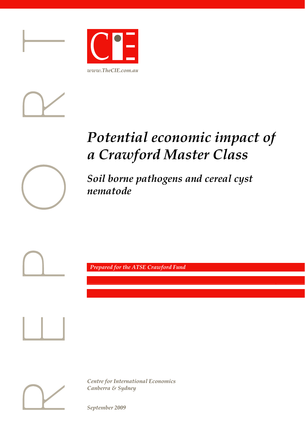



# *Potential economic impact of a Crawford Master Class*



*Soil borne pathogens and cereal cyst nematode* 

*Prepared for the ATSE Crawford Fund* 



*Centre for International Economics Canberra & Sydney* 

*September 2009*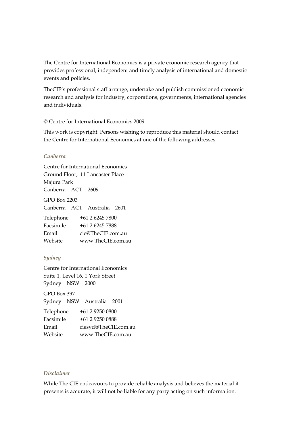The Centre for International Economics is a private economic research agency that provides professional, independent and timely analysis of international and domestic events and policies.

TheCIE's professional staff arrange, undertake and publish commissioned economic research and analysis for industry, corporations, governments, international agencies and individuals.

#### © Centre for International Economics 2009

This work is copyright. Persons wishing to reproduce this material should contact the Centre for International Economics at one of the following addresses.

#### *Canberra*

Centre for International Economics Ground Floor, 11 Lancaster Place Majura Park Canberra ACT 2609 GPO Box 2203 Canberra ACT Australia 2601 Telephone +61 2 6245 7800 Facsimile +61 2 6245 7888 Email cie@TheCIE.com.au Website www.TheCIE.com.au

#### *Sydney*

Centre for International Economics Suite 1, Level 16, 1 York Street Sydney NSW 2000 GPO Box 397 Sydney NSW Australia 2001 Telephone +61 2 9250 0800 Facsimile +61 2 9250 0888 Email ciesyd@TheCIE.com.au Website www.TheCIE.com.au

#### *Disclaimer*

While The CIE endeavours to provide reliable analysis and believes the material it presents is accurate, it will not be liable for any party acting on such information.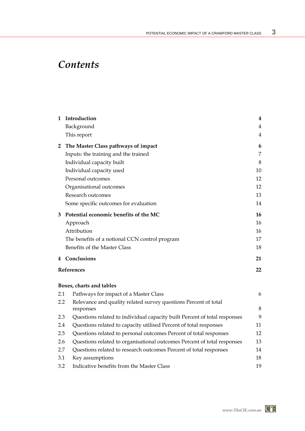# *Contents*

| Introduction                                                                 | 4                                                                                                                                                             |
|------------------------------------------------------------------------------|---------------------------------------------------------------------------------------------------------------------------------------------------------------|
| Background                                                                   | $\overline{4}$                                                                                                                                                |
| This report                                                                  | 4                                                                                                                                                             |
|                                                                              | 6                                                                                                                                                             |
| Inputs: the training and the trained                                         | 7                                                                                                                                                             |
| Individual capacity built                                                    | 8                                                                                                                                                             |
| Individual capacity used                                                     | 10                                                                                                                                                            |
| Personal outcomes                                                            | 12                                                                                                                                                            |
| Organisational outcomes                                                      | 12                                                                                                                                                            |
| Research outcomes                                                            | 13                                                                                                                                                            |
| Some specific outcomes for evaluation                                        | 14                                                                                                                                                            |
| Potential economic benefits of the MC                                        | 16                                                                                                                                                            |
| Approach                                                                     | 16                                                                                                                                                            |
| Attribution                                                                  | 16                                                                                                                                                            |
| The benefits of a notional CCN control program                               | 17                                                                                                                                                            |
| Benefits of the Master Class                                                 | 18                                                                                                                                                            |
|                                                                              | 21                                                                                                                                                            |
|                                                                              | 22                                                                                                                                                            |
|                                                                              |                                                                                                                                                               |
| Pathways for impact of a Master Class                                        | 6                                                                                                                                                             |
| Relevance and quality related survey questions Percent of total<br>responses | $8\,$                                                                                                                                                         |
| Questions related to individual capacity built Percent of total responses    | 9                                                                                                                                                             |
| Questions related to capacity utilised Percent of total responses            | 11                                                                                                                                                            |
| Questions related to personal outcomes Percent of total responses            | 12                                                                                                                                                            |
| Questions related to organisational outcomes Percent of total responses      | 13                                                                                                                                                            |
| Questions related to research outcomes Percent of total responses            | 14                                                                                                                                                            |
| Key assumptions                                                              | 18                                                                                                                                                            |
| Indicative benefits from the Master Class                                    | 19                                                                                                                                                            |
|                                                                              | The Master Class pathways of impact<br>4 Conclusions<br>References<br>Boxes, charts and tables<br>2.1<br>2.2<br>2.3<br>2.4<br>2.5<br>2.6<br>2.7<br>3.1<br>3.2 |

 *www.TheCIE.com.au*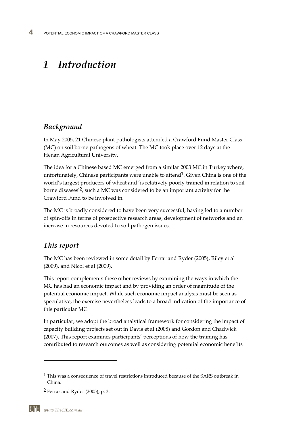# *1 Introduction*

# *Background*

In May 2005, 21 Chinese plant pathologists attended a Crawford Fund Master Class (MC) on soil borne pathogens of wheat. The MC took place over 12 days at the Henan Agricultural University.

The idea for a Chinese based MC emerged from a similar 2003 MC in Turkey where, unfortunately, Chinese participants were unable to attend<sup>1</sup>. Given China is one of the world's largest producers of wheat and 'is relatively poorly trained in relation to soil borne diseases'2, such a MC was considered to be an important activity for the Crawford Fund to be involved in.

The MC is broadly considered to have been very successful, having led to a number of spin-offs in terms of prospective research areas, development of networks and an increase in resources devoted to soil pathogen issues.

### *This report*

The MC has been reviewed in some detail by Ferrar and Ryder (2005), Riley et al (2009), and Nicol et al (2009).

This report complements these other reviews by examining the ways in which the MC has had an economic impact and by providing an order of magnitude of the potential economic impact. While such economic impact analysis must be seen as speculative, the exercise nevertheless leads to a broad indication of the importance of this particular MC.

In particular, we adopt the broad analytical framework for considering the impact of capacity building projects set out in Davis et al (2008) and Gordon and Chadwick (2007). This report examines participants' perceptions of how the training has contributed to research outcomes as well as considering potential economic benefits

<u>.</u>

 $1$  This was a consequence of travel restrictions introduced because of the SARS outbreak in China.

<sup>2</sup> Ferrar and Ryder (2005), p. 3.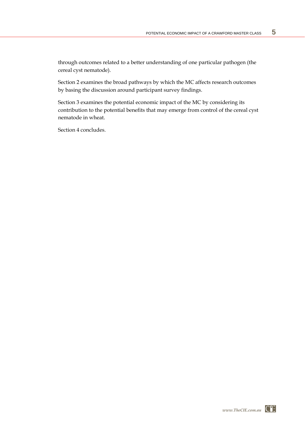through outcomes related to a better understanding of one particular pathogen (the cereal cyst nematode).

Section 2 examines the broad pathways by which the MC affects research outcomes by basing the discussion around participant survey findings.

Section 3 examines the potential economic impact of the MC by considering its contribution to the potential benefits that may emerge from control of the cereal cyst nematode in wheat.

Section 4 concludes.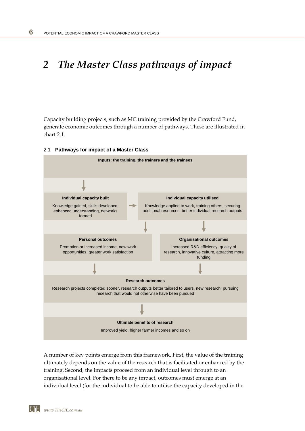# *2 The Master Class pathways of impact*

Capacity building projects, such as MC training provided by the Crawford Fund, generate economic outcomes through a number of pathways. These are illustrated in chart 2.1.



#### 2.1 **Pathways for impact of a Master Class**

A number of key points emerge from this framework. First, the value of the training ultimately depends on the value of the research that is facilitated or enhanced by the training. Second, the impacts proceed from an individual level through to an organisational level. For there to be any impact, outcomes must emerge at an individual level (for the individual to be able to utilise the capacity developed in the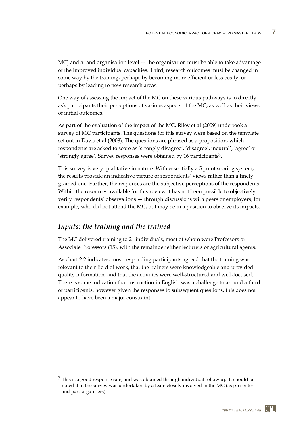$MC$ ) and at and organisation level  $-$  the organisation must be able to take advantage of the improved individual capacities. Third, research outcomes must be changed in some way by the training, perhaps by becoming more efficient or less costly, or perhaps by leading to new research areas.

One way of assessing the impact of the MC on these various pathways is to directly ask participants their perceptions of various aspects of the MC, as well as their views of initial outcomes.

As part of the evaluation of the impact of the MC, Riley et al (2009) undertook a survey of MC participants. The questions for this survey were based on the template set out in Davis et al (2008). The questions are phrased as a proposition, which respondents are asked to score as 'strongly disagree', 'disagree', 'neutral', 'agree' or 'strongly agree'. Survey responses were obtained by 16 participants3.

This survey is very qualitative in nature. With essentially a 5 point scoring system, the results provide an indicative picture of respondents' views rather than a finely grained one. Further, the responses are the subjective perceptions of the respondents. Within the resources available for this review it has not been possible to objectively verify respondents' observations — through discussions with peers or employers, for example, who did not attend the MC, but may be in a position to observe its impacts.

### *Inputs: the training and the trained*

 $\overline{a}$ 

The MC delivered training to 21 individuals, most of whom were Professors or Associate Professors (15), with the remainder either lecturers or agricultural agents.

As chart 2.2 indicates, most responding participants agreed that the training was relevant to their field of work, that the trainers were knowledgeable and provided quality information, and that the activities were well-structured and well-focused. There is some indication that instruction in English was a challenge to around a third of participants, however given the responses to subsequent questions, this does not appear to have been a major constraint.

 $3$  This is a good response rate, and was obtained through individual follow up. It should be noted that the survey was undertaken by a team closely involved in the MC (as presenters and part-organisers).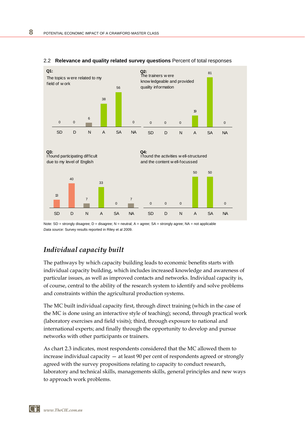

#### 2.2 **Relevance and quality related survey questions** Percent of total responses

Note: SD = strongly disagree; D = disagree; N = neutral; A = agree; SA = strongly agree; NA = not applicable *Data source:* Survey results reported in Riley et al 2009.

# *Individual capacity built*

The pathways by which capacity building leads to economic benefits starts with individual capacity building, which includes increased knowledge and awareness of particular issues, as well as improved contacts and networks. Individual capacity is, of course, central to the ability of the research system to identify and solve problems and constraints within the agricultural production systems.

The MC built individual capacity first, through direct training (which in the case of the MC is done using an interactive style of teaching); second, through practical work (laboratory exercises and field visits); third, through exposure to national and international experts; and finally through the opportunity to develop and pursue networks with other participants or trainers.

As chart 2.3 indicates, most respondents considered that the MC allowed them to increase individual capacity — at least 90 per cent of respondents agreed or strongly agreed with the survey propositions relating to capacity to conduct research, laboratory and technical skills, managements skills, general principles and new ways to approach work problems.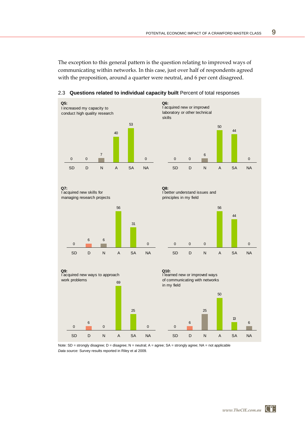The exception to this general pattern is the question relating to improved ways of communicating within networks. In this case, just over half of respondents agreed with the proposition, around a quarter were neutral, and 6 per cent disagreed.



2.3 **Questions related to individual capacity built** Percent of total responses



Note: SD = strongly disagree; D = disagree; N = neutral; A = agree; SA = strongly agree; NA = not applicable *Data source:* Survey results reported in Riley et al 2009.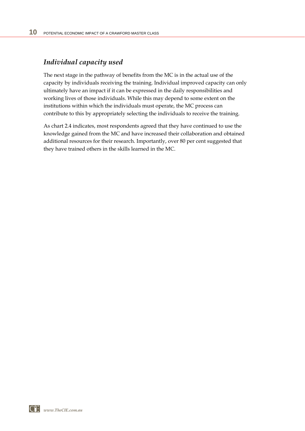# *Individual capacity used*

The next stage in the pathway of benefits from the MC is in the actual use of the capacity by individuals receiving the training. Individual improved capacity can only ultimately have an impact if it can be expressed in the daily responsibilities and working lives of those individuals. While this may depend to some extent on the institutions within which the individuals must operate, the MC process can contribute to this by appropriately selecting the individuals to receive the training.

As chart 2.4 indicates, most respondents agreed that they have continued to use the knowledge gained from the MC and have increased their collaboration and obtained additional resources for their research. Importantly, over 80 per cent suggested that they have trained others in the skills learned in the MC.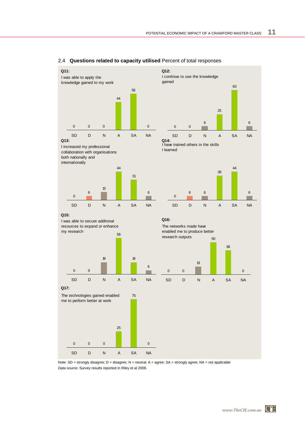6

6

 $\overline{0}$ 



#### 2.4 **Questions related to capacity utilised** Percent of total responses

Note: SD = strongly disagree; D = disagree; N = neutral; A = agree; SA = strongly agree; NA = not applicable *Data source:* Survey results reported in Riley et al 2009.

SD D N A SA NA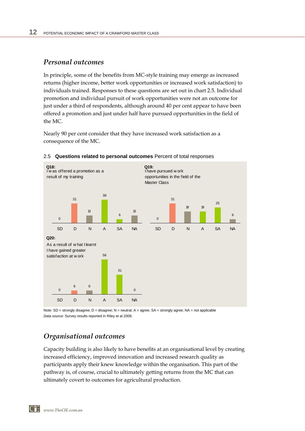### *Personal outcomes*

In principle, some of the benefits from MC-style training may emerge as increased returns (higher income, better work opportunities or increased work satisfaction) to individuals trained. Responses to these questions are set out in chart 2.5. Individual promotion and individual pursuit of work opportunities were not an outcome for just under a third of respondents, although around 40 per cent appear to have been offered a promotion and just under half have pursued opportunities in the field of the MC.

Nearly 90 per cent consider that they have increased work satisfaction as a consequence of the MC.



#### 2.5 **Questions related to personal outcomes** Percent of total responses

Note: SD = strongly disagree; D = disagree; N = neutral; A = agree; SA = strongly agree; NA = not applicable *Data source:* Survey results reported in Riley et al 2009.

# *Organisational outcomes*

Capacity building is also likely to have benefits at an organisational level by creating increased efficiency, improved innovation and increased research quality as participants apply their knew knowledge within the organisation. This part of the pathway is, of course, crucial to ultimately getting returns from the MC that can ultimately covert to outcomes for agricultural production.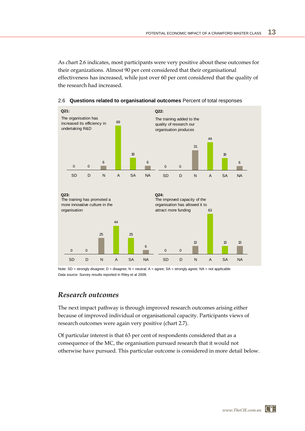As chart 2.6 indicates, most participants were very positive about these outcomes for their organizations. Almost 90 per cent considered that their organisational effectiveness has increased, while just over 60 per cent considered that the quality of the research had increased.



2.6 **Questions related to organisational outcomes** Percent of total responses

Note: SD = strongly disagree; D = disagree; N = neutral; A = agree; SA = strongly agree; NA = not applicable *Data source:* Survey results reported in Riley et al 2009.

### *Research outcomes*

The next impact pathway is through improved research outcomes arising either because of improved individual or organisational capacity. Participants views of research outcomes were again very positive (chart 2.7).

Of particular interest is that 63 per cent of respondents considered that as a consequence of the MC, the organisation pursued research that it would not otherwise have pursued. This particular outcome is considered in more detail below.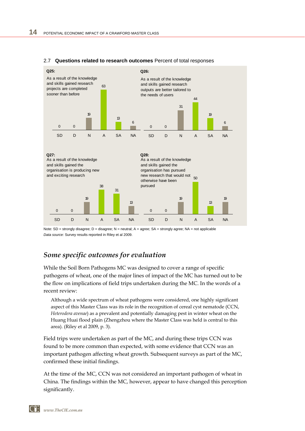

#### 2.7 **Questions related to research outcomes** Percent of total responses

Note: SD = strongly disagree; D = disagree; N = neutral; A = agree; SA = strongly agree; NA = not applicable *Data source:* Survey results reported in Riley et al 2009.

# *Some specific outcomes for evaluation*

While the Soil Born Pathogens MC was designed to cover a range of specific pathogens of wheat, one of the major lines of impact of the MC has turned out to be the flow on implications of field trips undertaken during the MC. In the words of a recent review:

Although a wide spectrum of wheat pathogens were considered, one highly significant aspect of this Master Class was its role in the recognition of cereal cyst nematode (CCN, *Heterodera avenae*) as a prevalent and potentially damaging pest in winter wheat on the Huang Huai flood plain (Zhengzhou where the Master Class was held is central to this area). (Riley et al 2009, p. 3).

Field trips were undertaken as part of the MC, and during these trips CCN was found to be more common than expected, with some evidence that CCN was an important pathogen affecting wheat growth. Subsequent surveys as part of the MC, confirmed these initial findings.

At the time of the MC, CCN was not considered an important pathogen of wheat in China. The findings within the MC, however, appear to have changed this perception significantly.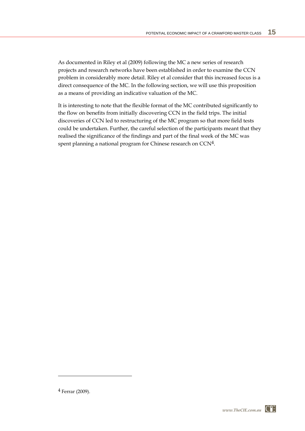As documented in Riley et al (2009) following the MC a new series of research projects and research networks have been established in order to examine the CCN problem in considerably more detail. Riley et al consider that this increased focus is a direct consequence of the MC. In the following section, we will use this proposition as a means of providing an indicative valuation of the MC.

It is interesting to note that the flexible format of the MC contributed significantly to the flow on benefits from initially discovering CCN in the field trips. The initial discoveries of CCN led to restructuring of the MC program so that more field tests could be undertaken. Further, the careful selection of the participants meant that they realised the significance of the findings and part of the final week of the MC was spent planning a national program for Chinese research on CCN<sup>4</sup>.

 $\overline{a}$ 

<sup>4</sup> Ferrar (2009).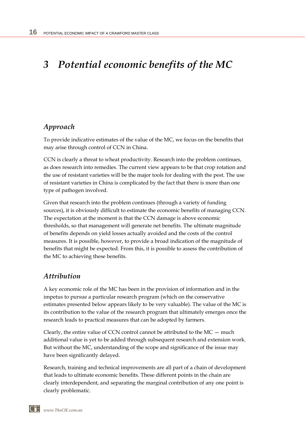# *3 Potential economic benefits of the MC*

# *Approach*

To provide indicative estimates of the value of the MC, we focus on the benefits that may arise through control of CCN in China.

CCN is clearly a threat to wheat productivity. Research into the problem continues, as does research into remedies. The current view appears to be that crop rotation and the use of resistant varieties will be the major tools for dealing with the pest. The use of resistant varieties in China is complicated by the fact that there is more than one type of pathogen involved.

Given that research into the problem continues (through a variety of funding sources), it is obviously difficult to estimate the economic benefits of managing CCN. The expectation at the moment is that the CCN damage is above economic thresholds, so that management will generate net benefits. The ultimate magnitude of benefits depends on yield losses actually avoided and the costs of the control measures. It is possible, however, to provide a broad indication of the magnitude of benefits that might be expected. From this, it is possible to assess the contribution of the MC to achieving these benefits.

# *Attribution*

A key economic role of the MC has been in the provision of information and in the impetus to pursue a particular research program (which on the conservative estimates presented below appears likely to be very valuable). The value of the MC is its contribution to the value of the research program that ultimately emerges once the research leads to practical measures that can be adopted by farmers.

Clearly, the entire value of CCN control cannot be attributed to the MC — much additional value is yet to be added through subsequent research and extension work. But without the MC, understanding of the scope and significance of the issue may have been significantly delayed.

Research, training and technical improvements are all part of a chain of development that leads to ultimate economic benefits. These different points in the chain are clearly interdependent, and separating the marginal contribution of any one point is clearly problematic.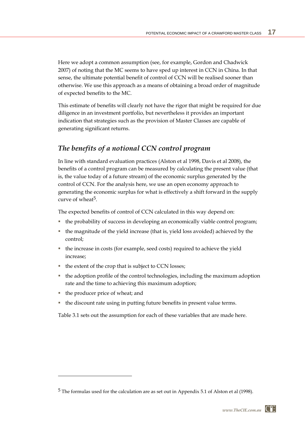Here we adopt a common assumption (see, for example, Gordon and Chadwick 2007) of noting that the MC seems to have sped up interest in CCN in China. In that sense, the ultimate potential benefit of control of CCN will be realised sooner than otherwise. We use this approach as a means of obtaining a broad order of magnitude of expected benefits to the MC.

This estimate of benefits will clearly not have the rigor that might be required for due diligence in an investment portfolio, but nevertheless it provides an important indication that strategies such as the provision of Master Classes are capable of generating significant returns.

### *The benefits of a notional CCN control program*

In line with standard evaluation practices (Alston et al 1998, Davis et al 2008), the benefits of a control program can be measured by calculating the present value (that is, the value today of a future stream) of the economic surplus generated by the control of CCN. For the analysis here, we use an open economy approach to generating the economic surplus for what is effectively a shift forward in the supply curve of wheat<sup>5</sup>.

The expected benefits of control of CCN calculated in this way depend on:

- the probability of success in developing an economically viable control program;
- the magnitude of the yield increase (that is, yield loss avoided) achieved by the control;
- the increase in costs (for example, seed costs) required to achieve the yield increase;
- $\blacksquare$  the extent of the crop that is subject to CCN losses;
- the adoption profile of the control technologies, including the maximum adoption rate and the time to achieving this maximum adoption;
- the producer price of wheat; and

 $\overline{a}$ 

the discount rate using in putting future benefits in present value terms.

Table 3.1 sets out the assumption for each of these variables that are made here.

<sup>5</sup> The formulas used for the calculation are as set out in Appendix 5.1 of Alston et al (1998).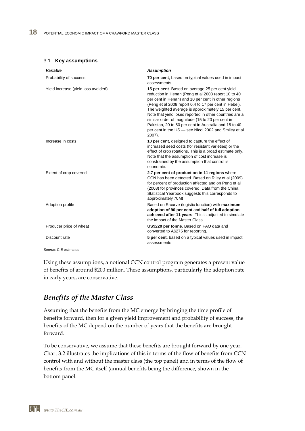| <b>Key assumptions</b> | 3.1 |  |  |  |
|------------------------|-----|--|--|--|
|------------------------|-----|--|--|--|

| Variable                            | <b>Assumption</b>                                                                                                                                                                                                                                                                                                                                                                                                                                                                                                      |
|-------------------------------------|------------------------------------------------------------------------------------------------------------------------------------------------------------------------------------------------------------------------------------------------------------------------------------------------------------------------------------------------------------------------------------------------------------------------------------------------------------------------------------------------------------------------|
| Probability of success              | 70 per cent, based on typical values used in impact<br>assessments.                                                                                                                                                                                                                                                                                                                                                                                                                                                    |
| Yield increase (yield loss avoided) | 15 per cent. Based on average 25 per cent yield<br>reduction in Henan (Peng et al 2008 report 10 to 40<br>per cent in Henan) and 10 per cent in other regions<br>(Peng et al 2008 report 0.4 to 17 per cent in Hebei).<br>The weighted average is approximately 15 per cent.<br>Note that yield loses reported in other countries are a<br>similar order of magnitude (15 to 20 per cent in<br>Pakistan, 20 to 50 per cent in Australia and 15 to 40<br>per cent in the US - see Nicol 2002 and Smiley et al<br>2007). |
| Increase in costs                   | 10 per cent, designed to capture the effect of<br>increased seed costs (for resistant varieties) or the<br>effect of crop rotations. This is a broad estimate only.<br>Note that the assumption of cost increase is<br>constrained by the assumption that control is<br>economic.                                                                                                                                                                                                                                      |
| Extent of crop covered              | 2.7 per cent of production in 11 regions where<br>CCN has been detected. Based on Riley et al (2009)<br>for percent of production affected and on Peng et al<br>(2008) for provinces covered. Data from the China<br>Statistical Yearbook suggests this corresponds to<br>approximately 70Mt                                                                                                                                                                                                                           |
| Adoption profile                    | Based on S-curve (logistic function) with maximum<br>adoption of 90 per cent and half of full adoption<br>achieved after 11 years. This is adjusted to simulate<br>the impact of the Master Class.                                                                                                                                                                                                                                                                                                                     |
| Producer price of wheat             | US\$220 per tonne. Based on FAO data and<br>converted to A\$275 for reporting.                                                                                                                                                                                                                                                                                                                                                                                                                                         |
| Discount rate                       | 5 per cent, based on a typical values used in impact<br>assessments                                                                                                                                                                                                                                                                                                                                                                                                                                                    |

*Source:* CIE estimates

Using these assumptions, a notional CCN control program generates a present value of benefits of around \$200 million. These assumptions, particularly the adoption rate in early years, are conservative.

### *Benefits of the Master Class*

Assuming that the benefits from the MC emerge by bringing the time profile of benefits forward, then for a given yield improvement and probability of success, the benefits of the MC depend on the number of years that the benefits are brought forward.

To be conservative, we assume that these benefits are brought forward by one year. Chart 3.2 illustrates the implications of this in terms of the flow of benefits from CCN control with and without the master class (the top panel) and in terms of the flow of benefits from the MC itself (annual benefits being the difference, shown in the bottom panel.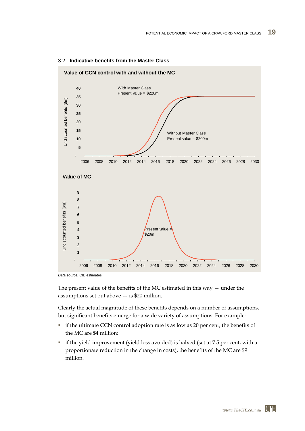

#### 3.2 **Indicative benefits from the Master Class**

*Data source:* CIE estimates

The present value of the benefits of the MC estimated in this way — under the assumptions set out above — is \$20 million.

Clearly the actual magnitude of these benefits depends on a number of assumptions, but significant benefits emerge for a wide variety of assumptions. For example:

- if the ultimate CCN control adoption rate is as low as 20 per cent, the benefits of the MC are \$4 million;
- if the yield improvement (yield loss avoided) is halved (set at 7.5 per cent, with a proportionate reduction in the change in costs), the benefits of the MC are \$9 million.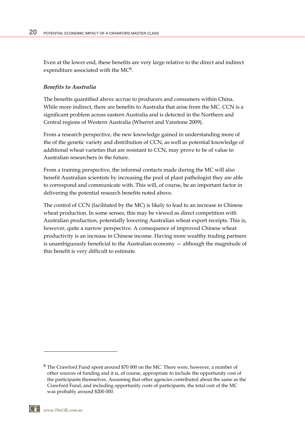Even at the lower end, these benefits are very large relative to the direct and indirect expenditure associated with the MC<sup>6</sup>.

#### *Benefits to Australia*

The benefits quantified above accrue to producers and consumers within China. While more indirect, there are benefits to Australia that arise from the MC. CCN is a significant problem across eastern Australia and is detected in the Northern and Central regions of Western Australia (Wherret and Vanstone 2009).

From a research perspective, the new knowledge gained in understanding more of the of the genetic variety and distribution of CCN, as well as potential knowledge of additional wheat varieties that are resistant to CCN, may prove to be of value to Australian researchers in the future.

From a training perspective, the informal contacts made during the MC will also benefit Australian scientists by increasing the pool of plant pathologist they are able to correspond and communicate with. This will, of course, be an important factor in delivering the potential research benefits noted above.

The control of CCN (facilitated by the MC) is likely to lead to an increase in Chinese wheat production. In some senses, this may be viewed as direct competition with Australian production, potentially lowering Australian wheat export receipts. This is, however, quite a narrow perspective. A consequence of improved Chinese wheat productivity is an increase in Chinese income. Having more wealthy trading partners is unambiguously beneficial to the Australian economy  $-$  although the magnitude of this benefit is very difficult to estimate.

<u>.</u>

<sup>6</sup> The Crawford Fund spent around \$70 000 on the MC. There were, however, a number of other sources of funding and it is, of course, appropriate to include the opportunity cost of the participants themselves. Assuming that other agencies contributed about the same as the Crawford Fund, and including opportunity costs of participants, the total cost of the MC was probably around \$200 000.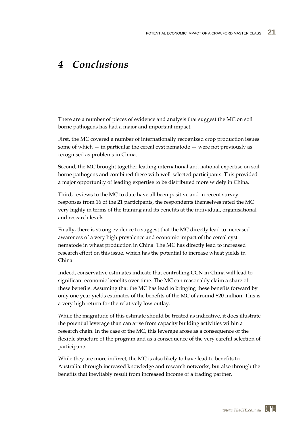# *4 Conclusions*

There are a number of pieces of evidence and analysis that suggest the MC on soil borne pathogens has had a major and important impact.

First, the MC covered a number of internationally recognized crop production issues some of which — in particular the cereal cyst nematode — were not previously as recognised as problems in China.

Second, the MC brought together leading international and national expertise on soil borne pathogens and combined these with well-selected participants. This provided a major opportunity of leading expertise to be distributed more widely in China.

Third, reviews to the MC to date have all been positive and in recent survey responses from 16 of the 21 participants, the respondents themselves rated the MC very highly in terms of the training and its benefits at the individual, organisational and research levels.

Finally, there is strong evidence to suggest that the MC directly lead to increased awareness of a very high prevalence and economic impact of the cereal cyst nematode in wheat production in China. The MC has directly lead to increased research effort on this issue, which has the potential to increase wheat yields in China.

Indeed, conservative estimates indicate that controlling CCN in China will lead to significant economic benefits over time. The MC can reasonably claim a share of these benefits. Assuming that the MC has lead to bringing these benefits forward by only one year yields estimates of the benefits of the MC of around \$20 million. This is a very high return for the relatively low outlay.

While the magnitude of this estimate should be treated as indicative, it does illustrate the potential leverage than can arise from capacity building activities within a research chain. In the case of the MC, this leverage arose as a consequence of the flexible structure of the program and as a consequence of the very careful selection of participants.

While they are more indirect, the MC is also likely to have lead to benefits to Australia: through increased knowledge and research networks, but also through the benefits that inevitably result from increased income of a trading partner.